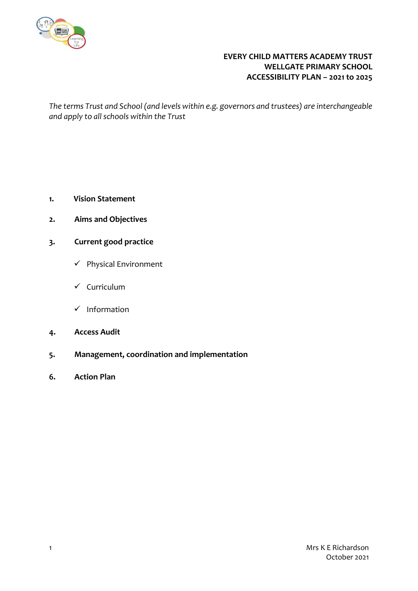

## **EVERY CHILD MATTERS ACADEMY TRUST WELLGATE PRIMARY SCHOOL ACCESSIBILITY PLAN – 2021 to 2025**

*The terms Trust and School (and levels within e.g. governors and trustees) are interchangeable and apply to all schools within the Trust*

- **1. Vision Statement**
- **2. Aims and Objectives**
- **3. Current good practice** 
	- ✓ Physical Environment
	- ✓ Curriculum
	- ✓ Information
- **4. Access Audit**
- **5. Management, coordination and implementation**
- **6. Action Plan**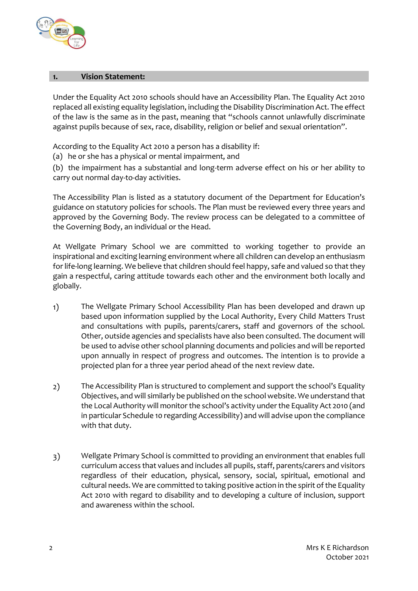

#### **1. Vision Statement:**

Under the Equality Act 2010 schools should have an Accessibility Plan. The Equality Act 2010 replaced all existing equality legislation, including the Disability Discrimination Act. The effect of the law is the same as in the past, meaning that "schools cannot unlawfully discriminate against pupils because of sex, race, disability, religion or belief and sexual orientation".

According to the Equality Act 2010 a person has a disability if:

(a) he or she has a physical or mental impairment, and

(b) the impairment has a substantial and long-term adverse effect on his or her ability to carry out normal day-to-day activities.

The Accessibility Plan is listed as a statutory document of the Department for Education's guidance on statutory policies for schools. The Plan must be reviewed every three years and approved by the Governing Body. The review process can be delegated to a committee of the Governing Body, an individual or the Head.

At Wellgate Primary School we are committed to working together to provide an inspirational and exciting learning environment where all children can develop an enthusiasm for life-long learning. We believe that children should feel happy, safe and valued so that they gain a respectful, caring attitude towards each other and the environment both locally and globally.

- 1) The Wellgate Primary School Accessibility Plan has been developed and drawn up based upon information supplied by the Local Authority, Every Child Matters Trust and consultations with pupils, parents/carers, staff and governors of the school. Other, outside agencies and specialists have also been consulted. The document will be used to advise other school planning documents and policies and will be reported upon annually in respect of progress and outcomes. The intention is to provide a projected plan for a three year period ahead of the next review date.
- 2) The Accessibility Plan is structured to complement and support the school's Equality Objectives, and will similarly be published on the school website. We understand that the Local Authority will monitor the school's activity under the Equality Act 2010 (and in particular Schedule 10 regarding Accessibility) and will advise upon the compliance with that duty.
- 3) Wellgate Primary School is committed to providing an environment that enables full curriculum access that values and includes all pupils, staff, parents/carers and visitors regardless of their education, physical, sensory, social, spiritual, emotional and cultural needs. We are committed to taking positive action in the spirit of the Equality Act 2010 with regard to disability and to developing a culture of inclusion, support and awareness within the school.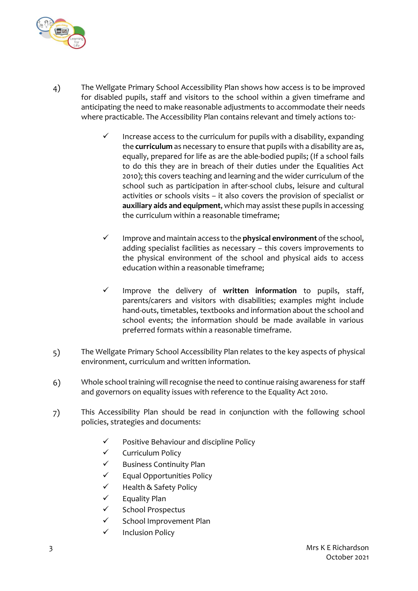

- 4) The Wellgate Primary School Accessibility Plan shows how access is to be improved for disabled pupils, staff and visitors to the school within a given timeframe and anticipating the need to make reasonable adjustments to accommodate their needs where practicable. The Accessibility Plan contains relevant and timely actions to:-
	- Increase access to the curriculum for pupils with a disability, expanding the **curriculum** as necessary to ensure that pupils with a disability are as, equally, prepared for life as are the able-bodied pupils; (If a school fails to do this they are in breach of their duties under the Equalities Act 2010); this covers teaching and learning and the wider curriculum of the school such as participation in after-school clubs, leisure and cultural activities or schools visits – it also covers the provision of specialist or **auxiliary aids and equipment**, which may assist these pupils in accessing the curriculum within a reasonable timeframe;
	- ✓ Improve and maintain access to the **physical environment** of the school, adding specialist facilities as necessary – this covers improvements to the physical environment of the school and physical aids to access education within a reasonable timeframe;
	- ✓ Improve the delivery of **written information** to pupils, staff, parents/carers and visitors with disabilities; examples might include hand-outs, timetables, textbooks and information about the school and school events; the information should be made available in various preferred formats within a reasonable timeframe.
- 5) The Wellgate Primary School Accessibility Plan relates to the key aspects of physical environment, curriculum and written information.
- 6) Whole school training will recognise the need to continue raising awareness for staff and governors on equality issues with reference to the Equality Act 2010.
- 7) This Accessibility Plan should be read in conjunction with the following school policies, strategies and documents:
	- ✓ Positive Behaviour and discipline Policy
	- ✓ Curriculum Policy
	- ✓ Business Continuity Plan
	- ✓ Equal Opportunities Policy
	- ✓ Health & Safety Policy
	- ✓ Equality Plan
	- ✓ School Prospectus
	- ✓ School Improvement Plan
	- ✓ Inclusion Policy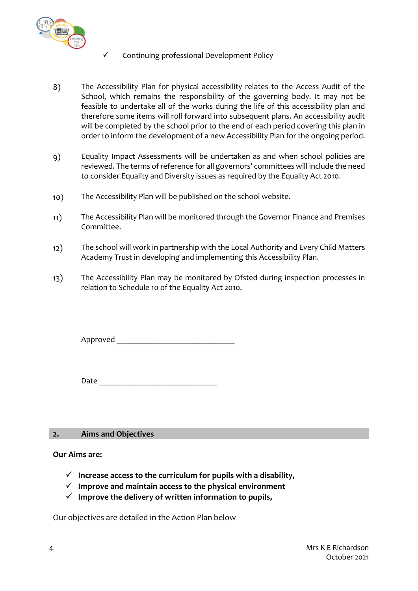

#### ✓ Continuing professional Development Policy

- 8) The Accessibility Plan for physical accessibility relates to the Access Audit of the School, which remains the responsibility of the governing body. It may not be feasible to undertake all of the works during the life of this accessibility plan and therefore some items will roll forward into subsequent plans. An accessibility audit will be completed by the school prior to the end of each period covering this plan in order to inform the development of a new Accessibility Plan for the ongoing period.
- 9) Equality Impact Assessments will be undertaken as and when school policies are reviewed. The terms of reference for all governors' committees will include the need to consider Equality and Diversity issues as required by the Equality Act 2010.
- 10) The Accessibility Plan will be published on the school website.
- 11) The Accessibility Plan will be monitored through the Governor Finance and Premises Committee.
- 12) The school will work in partnership with the Local Authority and Every Child Matters Academy Trust in developing and implementing this Accessibility Plan.
- 13) The Accessibility Plan may be monitored by Ofsted during inspection processes in relation to Schedule 10 of the Equality Act 2010.

Approved \_\_\_\_\_\_\_\_\_\_\_\_\_\_\_\_\_\_\_\_\_\_\_\_\_\_\_\_\_

Date \_\_\_\_\_\_\_\_\_\_\_\_\_\_\_\_\_\_\_\_\_\_\_\_\_\_\_\_\_

#### **2. Aims and Objectives**

**Our Aims are:** 

- ✓ **Increase access to the curriculum for pupils with a disability,**
- ✓ **Improve and maintain access to the physical environment**
- ✓ **Improve the delivery of written information to pupils,**

Our objectives are detailed in the Action Plan below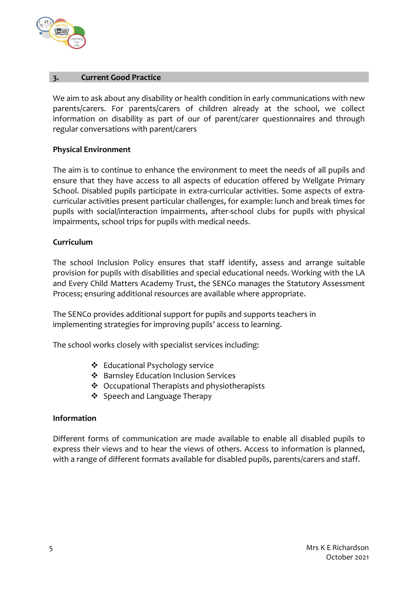

#### **3. Current Good Practice**

We aim to ask about any disability or health condition in early communications with new parents/carers. For parents/carers of children already at the school, we collect information on disability as part of our of parent/carer questionnaires and through regular conversations with parent/carers

#### **Physical Environment**

The aim is to continue to enhance the environment to meet the needs of all pupils and ensure that they have access to all aspects of education offered by Wellgate Primary School. Disabled pupils participate in extra-curricular activities. Some aspects of extracurricular activities present particular challenges, for example: lunch and break times for pupils with social/interaction impairments, after-school clubs for pupils with physical impairments, school trips for pupils with medical needs.

#### **Curriculum**

The school Inclusion Policy ensures that staff identify, assess and arrange suitable provision for pupils with disabilities and special educational needs. Working with the LA and Every Child Matters Academy Trust, the SENCo manages the Statutory Assessment Process; ensuring additional resources are available where appropriate.

The SENCo provides additional support for pupils and supports teachers in implementing strategies for improving pupils' access to learning.

The school works closely with specialist services including:

- ❖ Educational Psychology service
- ❖ Barnsley Education Inclusion Services
- ❖ Occupational Therapists and physiotherapists
- ❖ Speech and Language Therapy

#### **Information**

Different forms of communication are made available to enable all disabled pupils to express their views and to hear the views of others. Access to information is planned, with a range of different formats available for disabled pupils, parents/carers and staff.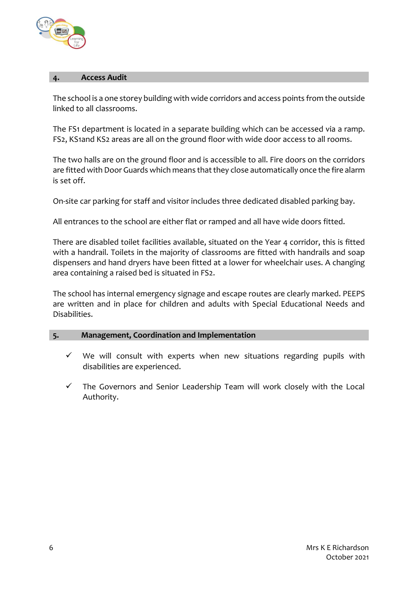

#### **4. Access Audit**

The school is a one storey building with wide corridors and access points from the outside linked to all classrooms.

The FS1 department is located in a separate building which can be accessed via a ramp. FS2, KS1and KS2 areas are all on the ground floor with wide door access to all rooms.

The two halls are on the ground floor and is accessible to all. Fire doors on the corridors are fitted with Door Guards which means that they close automatically once the fire alarm is set off.

On-site car parking for staff and visitor includes three dedicated disabled parking bay.

All entrances to the school are either flat or ramped and all have wide doors fitted.

There are disabled toilet facilities available, situated on the Year 4 corridor, this is fitted with a handrail. Toilets in the majority of classrooms are fitted with handrails and soap dispensers and hand dryers have been fitted at a lower for wheelchair uses. A changing area containing a raised bed is situated in FS2.

The school has internal emergency signage and escape routes are clearly marked. PEEPS are written and in place for children and adults with Special Educational Needs and Disabilities.

#### **5. Management, Coordination and Implementation**

- $\checkmark$  We will consult with experts when new situations regarding pupils with disabilities are experienced.
- The Governors and Senior Leadership Team will work closely with the Local Authority.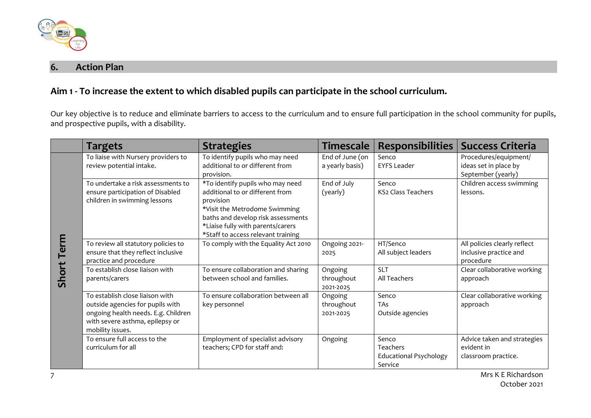

## **6. Action Plan**

## **Aim 1 - To increase the extent to which disabled pupils can participate in the school curriculum.**

Our key objective is to reduce and eliminate barriers to access to the curriculum and to ensure full participation in the school community for pupils, and prospective pupils, with a disability.

|              | <b>Targets</b>                                                                                                                                                    | <b>Strategies</b>                                                                                                                                                                                                                  | <b>Timescale</b>                   | Responsibilities                                              | <b>Success Criteria</b>                                              |
|--------------|-------------------------------------------------------------------------------------------------------------------------------------------------------------------|------------------------------------------------------------------------------------------------------------------------------------------------------------------------------------------------------------------------------------|------------------------------------|---------------------------------------------------------------|----------------------------------------------------------------------|
| <b>Term</b>  | To liaise with Nursery providers to<br>review potential intake.                                                                                                   | To identify pupils who may need<br>additional to or different from<br>provision.                                                                                                                                                   | End of June (on<br>a yearly basis) | Senco<br><b>EYFS Leader</b>                                   | Procedures/equipment/<br>ideas set in place by<br>September (yearly) |
|              | To undertake a risk assessments to<br>ensure participation of Disabled<br>children in swimming lessons                                                            | *To identify pupils who may need<br>additional to or different from<br>provision<br>*Visit the Metrodome Swimming<br>baths and develop risk assessments<br>*Liaise fully with parents/carers<br>*Staff to access relevant training | End of July<br>(yearly)            | Senco<br><b>KS2 Class Teachers</b>                            | Children access swimming<br>lessons.                                 |
|              | To review all statutory policies to<br>ensure that they reflect inclusive<br>practice and procedure                                                               | To comply with the Equality Act 2010                                                                                                                                                                                               | Ongoing 2021-<br>2025              | HT/Senco<br>All subject leaders                               | All policies clearly reflect<br>inclusive practice and<br>procedure  |
| <b>Short</b> | To establish close liaison with<br>parents/carers                                                                                                                 | To ensure collaboration and sharing<br>between school and families.                                                                                                                                                                | Ongoing<br>throughout<br>2021-2025 | <b>SLT</b><br>All Teachers                                    | Clear collaborative working<br>approach                              |
|              | To establish close liaison with<br>outside agencies for pupils with<br>ongoing health needs. E.g. Children<br>with severe asthma, epilepsy or<br>mobility issues. | To ensure collaboration between all<br>key personnel                                                                                                                                                                               | Ongoing<br>throughout<br>2021-2025 | Senco<br><b>TAs</b><br>Outside agencies                       | Clear collaborative working<br>approach                              |
|              | To ensure full access to the<br>curriculum for all                                                                                                                | Employment of specialist advisory<br>teachers; CPD for staff and:                                                                                                                                                                  | Ongoing                            | Senco<br>Teachers<br><b>Educational Psychology</b><br>Service | Advice taken and strategies<br>evident in<br>classroom practice.     |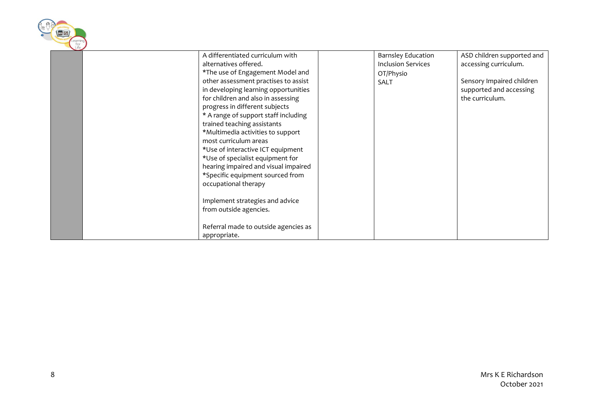| earning.<br>for |                                                                                                                                                                                                                                                                                                                                                                                                                                                                                                                                                                                                                                                                                              |                                                                             |                                                                                                                                |
|-----------------|----------------------------------------------------------------------------------------------------------------------------------------------------------------------------------------------------------------------------------------------------------------------------------------------------------------------------------------------------------------------------------------------------------------------------------------------------------------------------------------------------------------------------------------------------------------------------------------------------------------------------------------------------------------------------------------------|-----------------------------------------------------------------------------|--------------------------------------------------------------------------------------------------------------------------------|
|                 | A differentiated curriculum with<br>alternatives offered.<br>*The use of Engagement Model and<br>other assessment practises to assist<br>in developing learning opportunities<br>for children and also in assessing<br>progress in different subjects<br>* A range of support staff including<br>trained teaching assistants<br>*Multimedia activities to support<br>most curriculum areas<br>*Use of interactive ICT equipment<br>*Use of specialist equipment for<br>hearing impaired and visual impaired<br>*Specific equipment sourced from<br>occupational therapy<br>Implement strategies and advice<br>from outside agencies.<br>Referral made to outside agencies as<br>appropriate. | <b>Barnsley Education</b><br><b>Inclusion Services</b><br>OT/Physio<br>SALT | ASD children supported and<br>accessing curriculum.<br>Sensory Impaired children<br>supported and accessing<br>the curriculum. |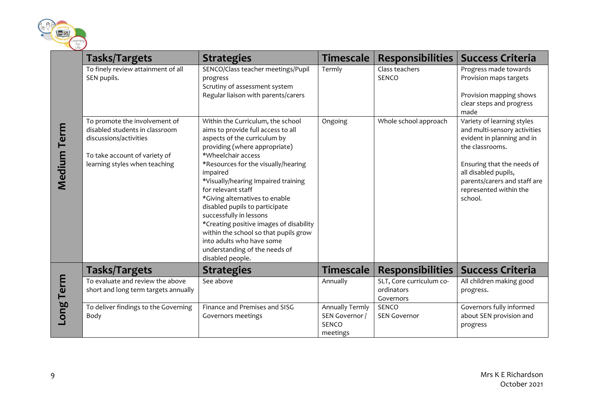

|             | <b>Tasks/Targets</b>                                                                                                                                        | <b>Strategies</b>                                                                                                                                                                                                                                                                                                                                                                                                                                                                                                                                   | <b>Timescale</b>                                              | <b>Responsibilities</b>                             | <b>Success Criteria</b>                                                                                                                                                                                                                |
|-------------|-------------------------------------------------------------------------------------------------------------------------------------------------------------|-----------------------------------------------------------------------------------------------------------------------------------------------------------------------------------------------------------------------------------------------------------------------------------------------------------------------------------------------------------------------------------------------------------------------------------------------------------------------------------------------------------------------------------------------------|---------------------------------------------------------------|-----------------------------------------------------|----------------------------------------------------------------------------------------------------------------------------------------------------------------------------------------------------------------------------------------|
|             | To finely review attainment of all<br>SEN pupils.                                                                                                           | SENCO/Class teacher meetings/Pupil<br>progress<br>Scrutiny of assessment system<br>Regular liaison with parents/carers                                                                                                                                                                                                                                                                                                                                                                                                                              | Termly                                                        | Class teachers<br><b>SENCO</b>                      | Progress made towards<br>Provision maps targets<br>Provision mapping shows<br>clear steps and progress<br>made                                                                                                                         |
| Medium Term | To promote the involvement of<br>disabled students in classroom<br>discussions/activities<br>To take account of variety of<br>learning styles when teaching | Within the Curriculum, the school<br>aims to provide full access to all<br>aspects of the curriculum by<br>providing (where appropriate)<br>*Wheelchair access<br>*Resources for the visually/hearing<br>impaired<br>*Visually/hearing Impaired training<br>for relevant staff<br>*Giving alternatives to enable<br>disabled pupils to participate<br>successfully in lessons<br>*Creating positive images of disability<br>within the school so that pupils grow<br>into adults who have some<br>understanding of the needs of<br>disabled people. | Ongoing                                                       | Whole school approach                               | Variety of learning styles<br>and multi-sensory activities<br>evident in planning and in<br>the classrooms.<br>Ensuring that the needs of<br>all disabled pupils,<br>parents/carers and staff are<br>represented within the<br>school. |
|             | Tasks/Targets                                                                                                                                               | <b>Strategies</b>                                                                                                                                                                                                                                                                                                                                                                                                                                                                                                                                   | <b>Timescale</b>                                              | <b>Responsibilities</b>                             | <b>Success Criteria</b>                                                                                                                                                                                                                |
| Long Term   | To evaluate and review the above<br>short and long term targets annually                                                                                    | See above                                                                                                                                                                                                                                                                                                                                                                                                                                                                                                                                           | Annually                                                      | SLT, Core curriculum co-<br>ordinators<br>Governors | All children making good<br>progress.                                                                                                                                                                                                  |
|             | To deliver findings to the Governing<br>Body                                                                                                                | Finance and Premises and SISG<br>Governors meetings                                                                                                                                                                                                                                                                                                                                                                                                                                                                                                 | <b>Annually Termly</b><br>SEN Governor /<br>SENCO<br>meetings | SENCO<br><b>SEN Governor</b>                        | Governors fully informed<br>about SEN provision and<br>progress                                                                                                                                                                        |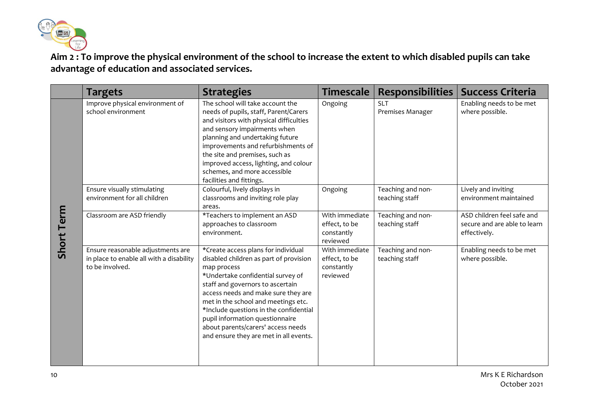

**Aim 2 : To improve the physical environment of the school to increase the extent to which disabled pupils can take advantage of education and associated services.**

|            | <b>Targets</b>                                                                                   | <b>Strategies</b>                                                                                                                                                                                                                                                                                                                                                                                                | <b>Timescale</b>                                          | Responsibilities                    | <b>Success Criteria</b>                                                    |
|------------|--------------------------------------------------------------------------------------------------|------------------------------------------------------------------------------------------------------------------------------------------------------------------------------------------------------------------------------------------------------------------------------------------------------------------------------------------------------------------------------------------------------------------|-----------------------------------------------------------|-------------------------------------|----------------------------------------------------------------------------|
| Short Term | Improve physical environment of<br>school environment                                            | The school will take account the<br>needs of pupils, staff, Parent/Carers<br>and visitors with physical difficulties<br>and sensory impairments when<br>planning and undertaking future<br>improvements and refurbishments of<br>the site and premises, such as<br>improved access, lighting, and colour<br>schemes, and more accessible<br>facilities and fittings.                                             | Ongoing                                                   | <b>SLT</b><br>Premises Manager      | Enabling needs to be met<br>where possible.                                |
|            | Ensure visually stimulating<br>environment for all children                                      | Colourful, lively displays in<br>classrooms and inviting role play<br>areas.                                                                                                                                                                                                                                                                                                                                     | Ongoing                                                   | Teaching and non-<br>teaching staff | Lively and inviting<br>environment maintained                              |
|            | Classroom are ASD friendly                                                                       | *Teachers to implement an ASD<br>approaches to classroom<br>environment.                                                                                                                                                                                                                                                                                                                                         | With immediate<br>effect, to be<br>constantly<br>reviewed | Teaching and non-<br>teaching staff | ASD children feel safe and<br>secure and are able to learn<br>effectively. |
|            | Ensure reasonable adjustments are<br>in place to enable all with a disability<br>to be involved. | *Create access plans for individual<br>disabled children as part of provision<br>map process<br>*Undertake confidential survey of<br>staff and governors to ascertain<br>access needs and make sure they are<br>met in the school and meetings etc.<br>*Include questions in the confidential<br>pupil information questionnaire<br>about parents/carers' access needs<br>and ensure they are met in all events. | With immediate<br>effect, to be<br>constantly<br>reviewed | Teaching and non-<br>teaching staff | Enabling needs to be met<br>where possible.                                |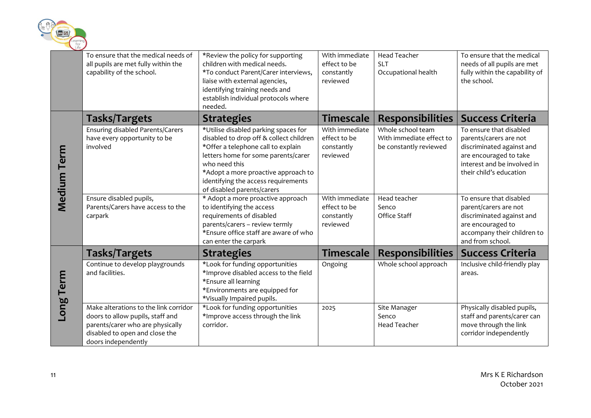

|                       | To ensure that the medical needs of<br>all pupils are met fully within the<br>capability of the school.                                                                | *Review the policy for supporting<br>children with medical needs.<br>*To conduct Parent/Carer interviews,<br>liaise with external agencies,<br>identifying training needs and<br>establish individual protocols where<br>needed.                                                          | With immediate<br>effect to be<br>constantly<br>reviewed | <b>Head Teacher</b><br><b>SLT</b><br>Occupational health                | To ensure that the medical<br>needs of all pupils are met<br>fully within the capability of<br>the school.                                                         |
|-----------------------|------------------------------------------------------------------------------------------------------------------------------------------------------------------------|-------------------------------------------------------------------------------------------------------------------------------------------------------------------------------------------------------------------------------------------------------------------------------------------|----------------------------------------------------------|-------------------------------------------------------------------------|--------------------------------------------------------------------------------------------------------------------------------------------------------------------|
|                       | <b>Tasks/Targets</b>                                                                                                                                                   | <b>Strategies</b>                                                                                                                                                                                                                                                                         | <b>Timescale</b>                                         | <b>Responsibilities</b>                                                 | <b>Success Criteria</b>                                                                                                                                            |
| <b>Lerm</b><br>Medium | Ensuring disabled Parents/Carers<br>have every opportunity to be<br>involved                                                                                           | *Utilise disabled parking spaces for<br>disabled to drop off & collect children<br>*Offer a telephone call to explain<br>letters home for some parents/carer<br>who need this<br>*Adopt a more proactive approach to<br>identifying the access requirements<br>of disabled parents/carers | With immediate<br>effect to be<br>constantly<br>reviewed | Whole school team<br>With immediate effect to<br>be constantly reviewed | To ensure that disabled<br>parents/carers are not<br>discriminated against and<br>are encouraged to take<br>interest and be involved in<br>their child's education |
|                       | Ensure disabled pupils,<br>Parents/Carers have access to the<br>carpark                                                                                                | * Adopt a more proactive approach<br>to identifying the access<br>requirements of disabled<br>parents/carers - review termly<br>*Ensure office staff are aware of who<br>can enter the carpark                                                                                            | With immediate<br>effect to be<br>constantly<br>reviewed | Head teacher<br>Senco<br>Office Staff                                   | To ensure that disabled<br>parent/carers are not<br>discriminated against and<br>are encouraged to<br>accompany their children to<br>and from school.              |
|                       | Tasks/Targets                                                                                                                                                          | <b>Strategies</b>                                                                                                                                                                                                                                                                         | <b>Timescale</b>                                         | <b>Responsibilities</b>                                                 | <b>Success Criteria</b>                                                                                                                                            |
| Term                  | Continue to develop playgrounds<br>and facilities.                                                                                                                     | *Look for funding opportunities<br>*Improve disabled access to the field<br>*Ensure all learning<br>*Environments are equipped for<br>*Visually Impaired pupils.                                                                                                                          | Ongoing                                                  | Whole school approach                                                   | Inclusive child-friendly play<br>areas.                                                                                                                            |
| Long                  | Make alterations to the link corridor<br>doors to allow pupils, staff and<br>parents/carer who are physically<br>disabled to open and close the<br>doors independently | *Look for funding opportunities<br>*Improve access through the link<br>corridor.                                                                                                                                                                                                          | 2025                                                     | Site Manager<br>Senco<br><b>Head Teacher</b>                            | Physically disabled pupils,<br>staff and parents/carer can<br>move through the link<br>corridor independently                                                      |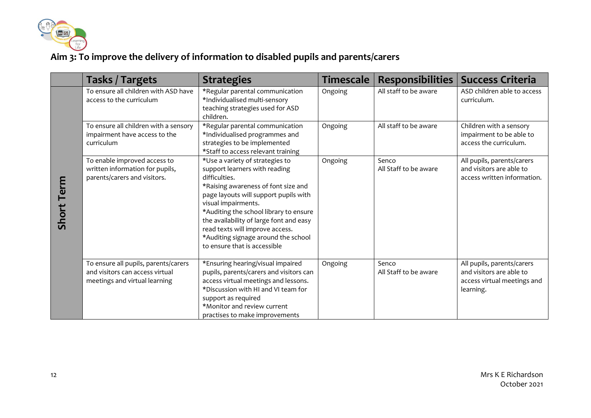

# **Aim 3: To improve the delivery of information to disabled pupils and parents/carers**

|            | <b>Tasks / Targets</b>                                                                                   | <b>Strategies</b>                                                                                                                                                                                                                                                                                                                                                                       | <b>Timescale</b> | Responsibilities               | <b>Success Criteria</b>                                                                            |
|------------|----------------------------------------------------------------------------------------------------------|-----------------------------------------------------------------------------------------------------------------------------------------------------------------------------------------------------------------------------------------------------------------------------------------------------------------------------------------------------------------------------------------|------------------|--------------------------------|----------------------------------------------------------------------------------------------------|
|            | To ensure all children with ASD have<br>access to the curriculum                                         | *Regular parental communication<br>*Individualised multi-sensory<br>teaching strategies used for ASD<br>children.                                                                                                                                                                                                                                                                       | Ongoing          | All staff to be aware          | ASD children able to access<br>curriculum.                                                         |
|            | To ensure all children with a sensory<br>impairment have access to the<br>curriculum                     | *Regular parental communication<br>*Individualised programmes and<br>strategies to be implemented<br>*Staff to access relevant training                                                                                                                                                                                                                                                 | Ongoing          | All staff to be aware          | Children with a sensory<br>impairment to be able to<br>access the curriculum.                      |
| Short Term | To enable improved access to<br>written information for pupils,<br>parents/carers and visitors.          | *Use a variety of strategies to<br>support learners with reading<br>difficulties.<br>*Raising awareness of font size and<br>page layouts will support pupils with<br>visual impairments.<br>*Auditing the school library to ensure<br>the availability of large font and easy<br>read texts will improve access.<br>*Auditing signage around the school<br>to ensure that is accessible | Ongoing          | Senco<br>All Staff to be aware | All pupils, parents/carers<br>and visitors are able to<br>access written information.              |
|            | To ensure all pupils, parents/carers<br>and visitors can access virtual<br>meetings and virtual learning | *Ensuring hearing/visual impaired<br>pupils, parents/carers and visitors can<br>access virtual meetings and lessons.<br>*Discussion with HI and VI team for<br>support as required<br>*Monitor and review current<br>practises to make improvements                                                                                                                                     | Ongoing          | Senco<br>All Staff to be aware | All pupils, parents/carers<br>and visitors are able to<br>access virtual meetings and<br>learning. |